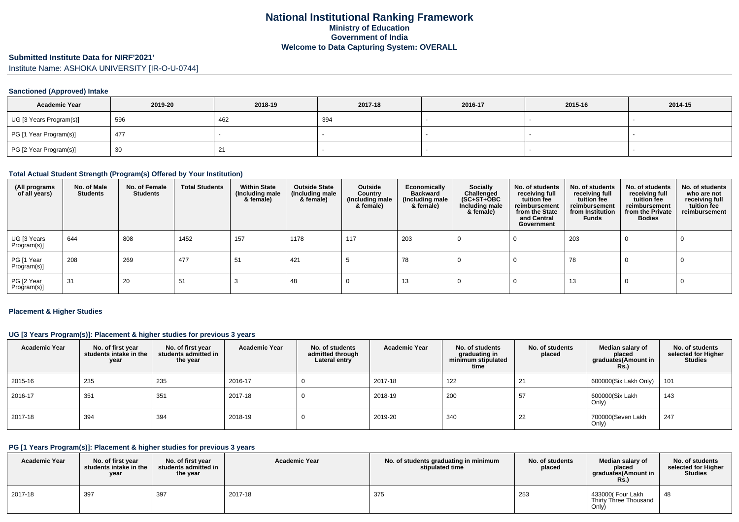#### **Submitted Institute Data for NIRF'2021'**

Institute Name: ASHOKA UNIVERSITY [IR-O-U-0744]

#### **Sanctioned (Approved) Intake**

| <b>Academic Year</b>    | 2019-20 | 2018-19 | 2017-18 | 2016-17 | 2015-16 | 2014-15 |
|-------------------------|---------|---------|---------|---------|---------|---------|
| UG [3 Years Program(s)] | 596     | 462     | 394     |         |         |         |
| PG [1 Year Program(s)]  | 477     |         |         |         |         |         |
| PG [2 Year Program(s)]  | 30      | -21     |         |         |         |         |

#### **Total Actual Student Strength (Program(s) Offered by Your Institution)**

| (All programs<br>of all years) | No. of Male<br><b>Students</b> | No. of Female<br><b>Students</b> | <b>Total Students</b> | <b>Within State</b><br>(Including male<br>& female) | <b>Outside State</b><br>(Including male<br>& female) | Outside<br>Country<br>(Including male<br>& female) | Economically<br><b>Backward</b><br>(Including male<br>& female) | Socially<br>Challenged<br>$(SC+ST+\overline{O}BC)$<br>Including male<br>& female) | No. of students<br>receiving full<br>tuition fee<br>reimbursement<br>from the State<br>and Central<br>Government | No. of students<br>receiving full<br>tuition fee<br>reimbursement<br>from Institution<br><b>Funds</b> | No. of students<br>receiving full<br>tuition fee<br>reimbursement<br>from the Private<br><b>Bodies</b> | No. of students<br>who are not<br>receiving full<br>tuition fee<br>reimbursement |
|--------------------------------|--------------------------------|----------------------------------|-----------------------|-----------------------------------------------------|------------------------------------------------------|----------------------------------------------------|-----------------------------------------------------------------|-----------------------------------------------------------------------------------|------------------------------------------------------------------------------------------------------------------|-------------------------------------------------------------------------------------------------------|--------------------------------------------------------------------------------------------------------|----------------------------------------------------------------------------------|
| UG [3 Years<br>Program(s)]     | 644                            | 808                              | 1452                  | 157                                                 | 1178                                                 | 117                                                | 203                                                             |                                                                                   |                                                                                                                  | 203                                                                                                   |                                                                                                        |                                                                                  |
| PG [1 Year<br>Program(s)]      | 208                            | 269                              | 477                   | 51                                                  | 421                                                  |                                                    | 78                                                              |                                                                                   |                                                                                                                  | 78                                                                                                    |                                                                                                        |                                                                                  |
| PG [2 Year<br>Program(s)]      | 31                             | 20                               | 51                    |                                                     | 48                                                   |                                                    | 13                                                              |                                                                                   |                                                                                                                  | 13                                                                                                    |                                                                                                        |                                                                                  |

#### **Placement & Higher Studies**

#### **UG [3 Years Program(s)]: Placement & higher studies for previous 3 years**

| <b>Academic Year</b> | No. of first year<br>students intake in the<br>year | No. of first year<br>students admitted in<br>the year | <b>Academic Year</b> | No. of students<br>admitted through<br>Lateral entry | <b>Academic Year</b> | No. of students<br>graduating in<br>minimum stipulated<br>time | No. of students<br>placed | Median salary of<br>placed<br>graduates(Amount in<br>R <sub>S</sub> | No. of students<br>selected for Higher<br><b>Studies</b> |
|----------------------|-----------------------------------------------------|-------------------------------------------------------|----------------------|------------------------------------------------------|----------------------|----------------------------------------------------------------|---------------------------|---------------------------------------------------------------------|----------------------------------------------------------|
| 2015-16              | 235                                                 | 235                                                   | 2016-17              |                                                      | 2017-18              | 122                                                            |                           | 600000(Six Lakh Only)                                               | 101                                                      |
| 2016-17              | 351                                                 | 351                                                   | 2017-18              |                                                      | 2018-19              | 200                                                            | 57                        | 600000(Six Lakh<br>Only)                                            | 143                                                      |
| 2017-18              | 394                                                 | 394                                                   | 2018-19              |                                                      | 2019-20              | 340                                                            | 22                        | 700000(Seven Lakh<br>Only)                                          | 247                                                      |

# **PG [1 Years Program(s)]: Placement & higher studies for previous 3 years**

| <b>Academic Year</b> | No. of first year<br>students intake in the<br>year | No. of first year<br>students admitted in<br>the year | <b>Academic Year</b> | No. of students graduating in minimum<br>stipulated time | No. of students<br>placed | Median salary of<br>placed<br>araduates(Amount in<br>Rs. | No. of students<br>selected for Higher<br><b>Studies</b> |
|----------------------|-----------------------------------------------------|-------------------------------------------------------|----------------------|----------------------------------------------------------|---------------------------|----------------------------------------------------------|----------------------------------------------------------|
| 2017-18              | 397                                                 | 397                                                   | 2017-18              | 375                                                      | 253                       | 433000( Four Lakh<br>Thirty Three Thousand<br>Only)      | 48                                                       |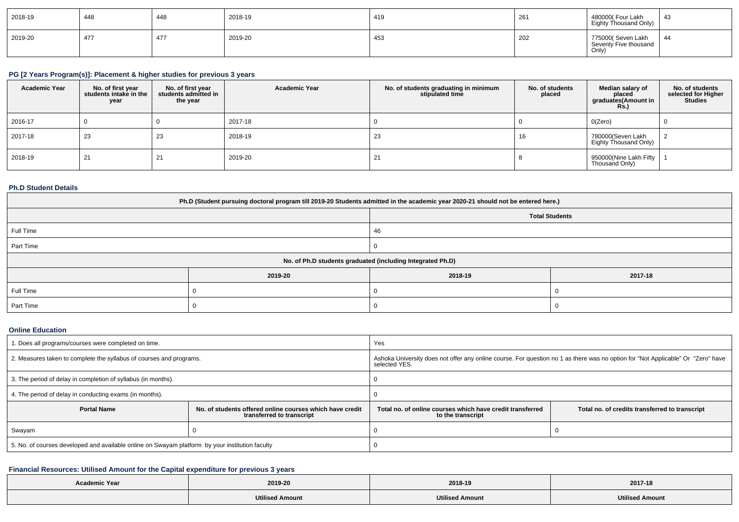| 2018-19 | 448 | 448 | 2018-19 | 419 | 261 | 480000( Four Lakh<br>Eighty Thousand Only)          | -43 |
|---------|-----|-----|---------|-----|-----|-----------------------------------------------------|-----|
| 2019-20 | 477 | 477 | 2019-20 | 453 | 202 | 775000(Seven Lakh<br>Seventy Five thousand<br>Only) | 44  |

# **PG [2 Years Program(s)]: Placement & higher studies for previous 3 years**

| <b>Academic Year</b> | No. of first year<br>students intake in the<br>year | No. of first vear<br>students admitted in<br>the year | <b>Academic Year</b> | No. of students graduating in minimum<br>stipulated time | No. of students<br>placed | Median salary of<br>placed<br>graduates(Amount in<br>Rs.) | No. of students<br>selected for Higher<br><b>Studies</b> |
|----------------------|-----------------------------------------------------|-------------------------------------------------------|----------------------|----------------------------------------------------------|---------------------------|-----------------------------------------------------------|----------------------------------------------------------|
| 2016-17              |                                                     |                                                       | 2017-18              |                                                          |                           | O(Zero)                                                   |                                                          |
| 2017-18              | 23                                                  | 23                                                    | 2018-19              | 23                                                       | 16                        | 780000(Seven Lakh<br>Eighty Thousand Only)                |                                                          |
| 2018-19              | 21                                                  | 21                                                    | 2019-20              |                                                          |                           | 950000(Nine Lakh Fifty<br>Thousand Only)                  |                                                          |

### **Ph.D Student Details**

| Ph.D (Student pursuing doctoral program till 2019-20 Students admitted in the academic year 2020-21 should not be entered here.) |                                                            |         |         |  |  |  |
|----------------------------------------------------------------------------------------------------------------------------------|------------------------------------------------------------|---------|---------|--|--|--|
| <b>Total Students</b>                                                                                                            |                                                            |         |         |  |  |  |
| Full Time                                                                                                                        |                                                            | 46      |         |  |  |  |
| Part Time                                                                                                                        |                                                            |         |         |  |  |  |
|                                                                                                                                  | No. of Ph.D students graduated (including Integrated Ph.D) |         |         |  |  |  |
|                                                                                                                                  | 2019-20                                                    | 2018-19 | 2017-18 |  |  |  |
| Full Time                                                                                                                        |                                                            |         |         |  |  |  |
| Part Time                                                                                                                        |                                                            |         |         |  |  |  |

#### **Online Education**

| 1. Does all programs/courses were completed on time.                                            |                                                                                       | Yes                                                                                                                                               |                                                |  |
|-------------------------------------------------------------------------------------------------|---------------------------------------------------------------------------------------|---------------------------------------------------------------------------------------------------------------------------------------------------|------------------------------------------------|--|
| 2. Measures taken to complete the syllabus of courses and programs.                             |                                                                                       | Ashoka University does not offer any online course. For question no 1 as there was no option for "Not Applicable" Or "Zero" have<br>selected YES. |                                                |  |
| 3. The period of delay in completion of syllabus (in months).                                   |                                                                                       |                                                                                                                                                   |                                                |  |
| 4. The period of delay in conducting exams (in months).                                         |                                                                                       |                                                                                                                                                   |                                                |  |
| <b>Portal Name</b>                                                                              | No. of students offered online courses which have credit<br>transferred to transcript | Total no, of online courses which have credit transferred<br>to the transcript                                                                    | Total no. of credits transferred to transcript |  |
| Swayam                                                                                          |                                                                                       |                                                                                                                                                   |                                                |  |
| 5. No. of courses developed and available online on Swayam platform by your institution faculty |                                                                                       |                                                                                                                                                   |                                                |  |

# **Financial Resources: Utilised Amount for the Capital expenditure for previous 3 years**

| <b>Academic Year</b> | 2019-20                | 2018-19                | 2017-18         |
|----------------------|------------------------|------------------------|-----------------|
|                      | <b>Utilised Amount</b> | <b>Utilised Amount</b> | Utilised Amount |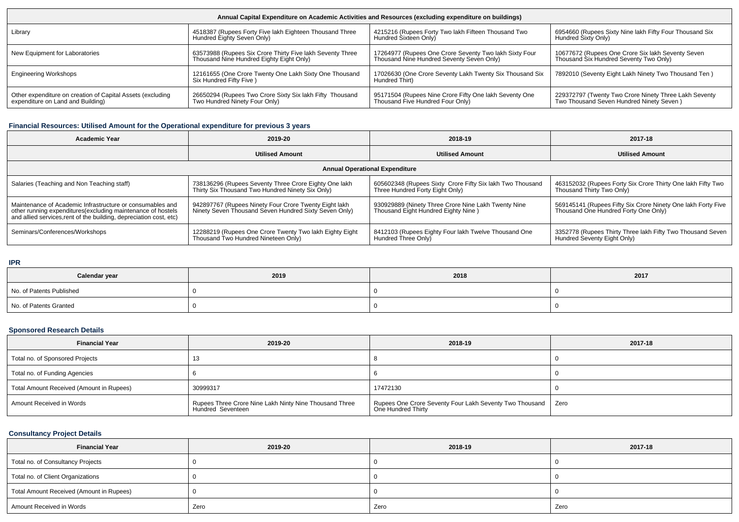| Annual Capital Expenditure on Academic Activities and Resources (excluding expenditure on buildings) |                                                                                   |                                                                            |                                                         |  |  |  |
|------------------------------------------------------------------------------------------------------|-----------------------------------------------------------------------------------|----------------------------------------------------------------------------|---------------------------------------------------------|--|--|--|
| Library                                                                                              | 4518387 (Rupees Forty Five lakh Eighteen Thousand Three                           | 4215216 (Rupees Forty Two lakh Fifteen Thousand Two                        | 6954660 (Rupees Sixty Nine lakh Fifty Four Thousand Six |  |  |  |
|                                                                                                      | Hundred Eighty Seven Only)                                                        | Hundred Sixteen Only)                                                      | Hundred Sixty Only)                                     |  |  |  |
| New Equipment for Laboratories                                                                       | 63573988 (Rupees Six Crore Thirty Five lakh Seventy Three                         | 17264977 (Rupees One Crore Seventy Two lakh Sixty Four                     | 10677672 (Rupees One Crore Six lakh Seventy Seven       |  |  |  |
|                                                                                                      | Thousand Nine Hundred Eighty Eight Only)                                          | Thousand Nine Hundred Seventy Seven Only)                                  | Thousand Six Hundred Seventy Two Only)                  |  |  |  |
| <b>Engineering Workshops</b>                                                                         | 12161655 (One Crore Twenty One Lakh Sixty One Thousand<br>Six Hundred Fifty Five) | 17026630 (One Crore Seventy Lakh Twenty Six Thousand Six<br>Hundred Thirt) | 7892010 (Seventy Eight Lakh Ninety Two Thousand Ten)    |  |  |  |
| Other expenditure on creation of Capital Assets (excluding                                           | 26650294 (Rupees Two Crore Sixty Six lakh Fifty Thousand                          | 95171504 (Rupees Nine Crore Fifty One lakh Seventy One                     | 229372797 (Twenty Two Crore Ninety Three Lakh Seventy   |  |  |  |
| expenditure on Land and Building)                                                                    | Two Hundred Ninety Four Only)                                                     | Thousand Five Hundred Four Only)                                           | Two Thousand Seven Hundred Ninety Seven)                |  |  |  |

### **Financial Resources: Utilised Amount for the Operational expenditure for previous 3 years**

| <b>Academic Year</b>                                                                                                                                                                            | 2019-20                                                                                                        | 2018-19                                                                                      | 2017-18                                                                                              |  |  |  |  |
|-------------------------------------------------------------------------------------------------------------------------------------------------------------------------------------------------|----------------------------------------------------------------------------------------------------------------|----------------------------------------------------------------------------------------------|------------------------------------------------------------------------------------------------------|--|--|--|--|
|                                                                                                                                                                                                 | <b>Utilised Amount</b>                                                                                         | <b>Utilised Amount</b>                                                                       | <b>Utilised Amount</b>                                                                               |  |  |  |  |
| <b>Annual Operational Expenditure</b>                                                                                                                                                           |                                                                                                                |                                                                                              |                                                                                                      |  |  |  |  |
| Salaries (Teaching and Non Teaching staff)                                                                                                                                                      | 738136296 (Rupees Seventy Three Crore Eighty One lakh<br>Thirty Six Thousand Two Hundred Ninety Six Only)      | 605602348 (Rupees Sixty Crore Fifty Six lakh Two Thousand<br>Three Hundred Forty Eight Only) | 463152032 (Rupees Forty Six Crore Thirty One lakh Fifty Two<br>Thousand Thirty Two Only)             |  |  |  |  |
| Maintenance of Academic Infrastructure or consumables and<br>other running expenditures (excluding maintenance of hostels<br>and allied services, rent of the building, depreciation cost, etc) | 942897767 (Rupees Ninety Four Crore Twenty Eight lakh<br>Ninety Seven Thousand Seven Hundred Sixty Seven Only) | 930929889 (Ninety Three Crore Nine Lakh Twenty Nine<br>Thousand Eight Hundred Eighty Nine)   | 569145141 (Rupees Fifty Six Crore Ninety One lakh Forty Five<br>Thousand One Hundred Forty One Only) |  |  |  |  |
| Seminars/Conferences/Workshops                                                                                                                                                                  | 12288219 (Rupees One Crore Twenty Two lakh Eighty Eight<br>Thousand Two Hundred Nineteen Only)                 | 8412103 (Rupees Eighty Four lakh Twelve Thousand One<br>Hundred Three Only)                  | 3352778 (Rupees Thirty Three lakh Fifty Two Thousand Seven<br>Hundred Seventy Eight Only)            |  |  |  |  |

#### **IPR**

| .                        |      |      |      |  |  |  |
|--------------------------|------|------|------|--|--|--|
| Calendar year            | 2019 | 2018 | 2017 |  |  |  |
| No. of Patents Published |      |      |      |  |  |  |
| No. of Patents Granted   |      |      |      |  |  |  |

# **Sponsored Research Details**

| <b>Financial Year</b>                    | 2019-20                                                                     | 2018-19                                                                              | 2017-18 |  |  |
|------------------------------------------|-----------------------------------------------------------------------------|--------------------------------------------------------------------------------------|---------|--|--|
| Total no. of Sponsored Projects          |                                                                             |                                                                                      |         |  |  |
| Total no. of Funding Agencies            |                                                                             |                                                                                      |         |  |  |
| Total Amount Received (Amount in Rupees) | 30999317                                                                    | 17472130                                                                             |         |  |  |
| Amount Received in Words                 | Rupees Three Crore Nine Lakh Ninty Nine Thousand Three<br>Hundred Seventeen | Rupees One Crore Seventy Four Lakh Seventy Two Thousand   Zero<br>One Hundred Thirty |         |  |  |

# **Consultancy Project Details**

| <b>Financial Year</b>                    | 2019-20 | 2018-19 | 2017-18 |
|------------------------------------------|---------|---------|---------|
| Total no. of Consultancy Projects        |         |         |         |
| Total no. of Client Organizations        |         |         |         |
| Total Amount Received (Amount in Rupees) |         |         |         |
| Amount Received in Words                 | Zero    | Zero    | Zero    |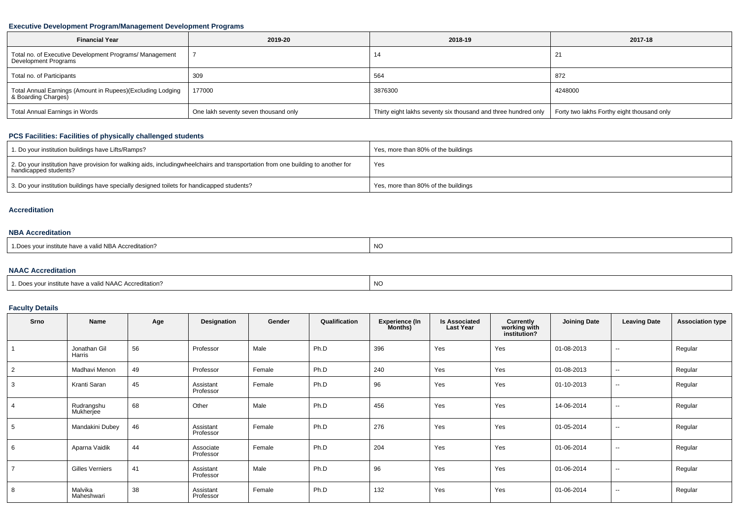#### **Executive Development Program/Management Development Programs**

| <b>Financial Year</b>                                                             | 2019-20                              | 2018-19                                                                                                     | 2017-18     |
|-----------------------------------------------------------------------------------|--------------------------------------|-------------------------------------------------------------------------------------------------------------|-------------|
| Total no. of Executive Development Programs/ Management<br>Development Programs   |                                      | 14                                                                                                          | $2^{\circ}$ |
| Total no. of Participants                                                         | 309                                  | 564                                                                                                         | 872         |
| Total Annual Earnings (Amount in Rupees)(Excluding Lodging<br>& Boarding Charges) | 177000                               | 3876300                                                                                                     | 4248000     |
| Total Annual Earnings in Words                                                    | One lakh seventy seven thousand only | Thirty eight lakhs seventy six thousand and three hundred only   Forty two lakhs Forthy eight thousand only |             |

# **PCS Facilities: Facilities of physically challenged students**

| 1. Do your institution buildings have Lifts/Ramps?                                                                                                        | Yes, more than 80% of the buildings |
|-----------------------------------------------------------------------------------------------------------------------------------------------------------|-------------------------------------|
| 2. Do your institution have provision for walking aids, includingwheelchairs and transportation from one building to another for<br>handicapped students? | Yes                                 |
| 3. Do your institution buildings have specially designed toilets for handicapped students?                                                                | Yes, more than 80% of the buildings |

#### **Accreditation**

#### **NBA Accreditation**

| 1. Does your institute have a valid NBA Accreditation?<br>NC |  |
|--------------------------------------------------------------|--|
|--------------------------------------------------------------|--|

#### **NAAC Accreditation**

# **Faculty Details**

| Srno        | Name                    | Age | Designation            | Gender | Qualification | <b>Experience (In</b><br><b>Months</b> ) | <b>Is Associated</b><br><b>Last Year</b> | Currently<br>working with<br>institution? | <b>Joining Date</b> | <b>Leaving Date</b> | <b>Association type</b> |
|-------------|-------------------------|-----|------------------------|--------|---------------|------------------------------------------|------------------------------------------|-------------------------------------------|---------------------|---------------------|-------------------------|
|             | Jonathan Gil<br>Harris  | 56  | Professor              | Male   | Ph.D          | 396                                      | Yes                                      | Yes                                       | 01-08-2013          | $- -$               | Regular                 |
| 2           | Madhavi Menon           | 49  | Professor              | Female | Ph.D          | 240                                      | Yes                                      | Yes                                       | 01-08-2013          | $\sim$              | Regular                 |
| 3           | Kranti Saran            | 45  | Assistant<br>Professor | Female | Ph.D          | 96                                       | Yes                                      | Yes                                       | 01-10-2013          | $\sim$              | Regular                 |
|             | Rudrangshu<br>Mukherjee | 68  | Other                  | Male   | Ph.D          | 456                                      | Yes                                      | Yes                                       | 14-06-2014          | $\sim$              | Regular                 |
| $5^{\circ}$ | Mandakini Dubey         | 46  | Assistant<br>Professor | Female | Ph.D          | 276                                      | Yes                                      | Yes                                       | 01-05-2014          | $\sim$              | Regular                 |
| 6           | Aparna Vaidik           | 44  | Associate<br>Professor | Female | Ph.D          | 204                                      | Yes                                      | Yes                                       | 01-06-2014          | $\sim$              | Regular                 |
|             | <b>Gilles Verniers</b>  | 41  | Assistant<br>Professor | Male   | Ph.D          | 96                                       | Yes                                      | Yes                                       | 01-06-2014          | $\sim$              | Regular                 |
| 8           | Malvika<br>Maheshwari   | 38  | Assistant<br>Professor | Female | Ph.D          | 132                                      | Yes                                      | Yes                                       | 01-06-2014          | $- -$               | Regular                 |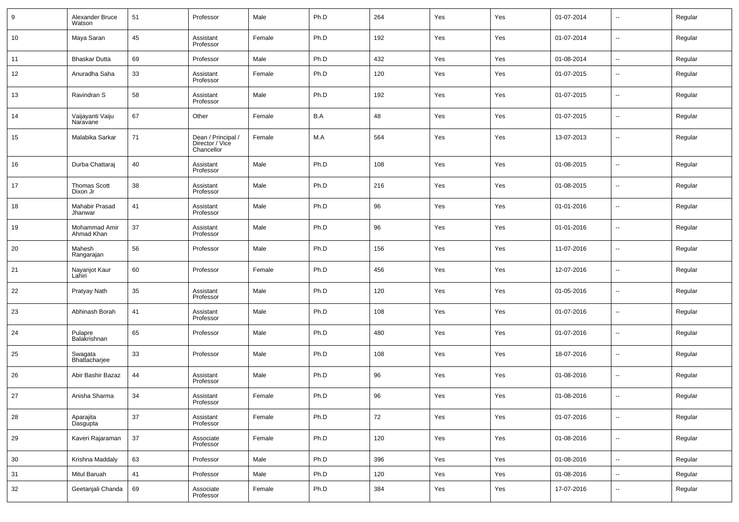| 9  | Alexander Bruce<br>Watson    | 51 | Professor                                           | Male   | Ph.D | 264    | Yes | Yes | 01-07-2014 | $\overline{\phantom{a}}$ | Regular |
|----|------------------------------|----|-----------------------------------------------------|--------|------|--------|-----|-----|------------|--------------------------|---------|
| 10 | Maya Saran                   | 45 | Assistant<br>Professor                              | Female | Ph.D | 192    | Yes | Yes | 01-07-2014 | $\overline{\phantom{a}}$ | Regular |
| 11 | <b>Bhaskar Dutta</b>         | 69 | Professor                                           | Male   | Ph.D | 432    | Yes | Yes | 01-08-2014 | $\sim$                   | Regular |
| 12 | Anuradha Saha                | 33 | Assistant<br>Professor                              | Female | Ph.D | 120    | Yes | Yes | 01-07-2015 | $\sim$                   | Regular |
| 13 | Ravindran S                  | 58 | Assistant<br>Professor                              | Male   | Ph.D | 192    | Yes | Yes | 01-07-2015 | $\sim$                   | Regular |
| 14 | Vaijayanti Vaiju<br>Naravane | 67 | Other                                               | Female | B.A  | 48     | Yes | Yes | 01-07-2015 | $\sim$                   | Regular |
| 15 | Malabika Sarkar              | 71 | Dean / Principal /<br>Director / Vice<br>Chancellor | Female | M.A  | 564    | Yes | Yes | 13-07-2013 | $\sim$                   | Regular |
| 16 | Durba Chattaraj              | 40 | Assistant<br>Professor                              | Male   | Ph.D | 108    | Yes | Yes | 01-08-2015 | $\overline{\phantom{a}}$ | Regular |
| 17 | Thomas Scott<br>Dixon Jr     | 38 | Assistant<br>Professor                              | Male   | Ph.D | 216    | Yes | Yes | 01-08-2015 | $\overline{\phantom{a}}$ | Regular |
| 18 | Mahabir Prasad<br>Jhanwar    | 41 | Assistant<br>Professor                              | Male   | Ph.D | 96     | Yes | Yes | 01-01-2016 | $\overline{\phantom{a}}$ | Regular |
| 19 | Mohammad Amir<br>Ahmad Khan  | 37 | Assistant<br>Professor                              | Male   | Ph.D | 96     | Yes | Yes | 01-01-2016 | $\overline{\phantom{a}}$ | Regular |
| 20 | Mahesh<br>Rangarajan         | 56 | Professor                                           | Male   | Ph.D | 156    | Yes | Yes | 11-07-2016 | $\overline{\phantom{a}}$ | Regular |
| 21 | Nayanjot Kaur<br>Lahiri      | 60 | Professor                                           | Female | Ph.D | 456    | Yes | Yes | 12-07-2016 | $\overline{\phantom{a}}$ | Regular |
| 22 | Pratyay Nath                 | 35 | Assistant<br>Professor                              | Male   | Ph.D | 120    | Yes | Yes | 01-05-2016 | $\overline{\phantom{a}}$ | Regular |
| 23 | Abhinash Borah               | 41 | Assistant<br>Professor                              | Male   | Ph.D | 108    | Yes | Yes | 01-07-2016 | $\overline{\phantom{a}}$ | Regular |
| 24 | Pulapre<br>Balakrishnan      | 65 | Professor                                           | Male   | Ph.D | 480    | Yes | Yes | 01-07-2016 | $\overline{\phantom{a}}$ | Regular |
| 25 | Swagata<br>Bhattacharjee     | 33 | Professor                                           | Male   | Ph.D | 108    | Yes | Yes | 18-07-2016 | $\overline{\phantom{a}}$ | Regular |
| 26 | Abir Bashir Bazaz            | 44 | Assistant<br>Professor                              | Male   | Ph.D | 96     | Yes | Yes | 01-08-2016 | $\overline{\phantom{a}}$ | Regular |
| 27 | Anisha Sharma                | 34 | Assistant<br>Professor                              | Female | Ph.D | 96     | Yes | Yes | 01-08-2016 | $\overline{\phantom{a}}$ | Regular |
| 28 | Aparajita<br>Dasgupta        | 37 | Assistant<br>Professor                              | Female | Ph.D | $72\,$ | Yes | Yes | 01-07-2016 | $\sim$                   | Regular |
| 29 | Kaveri Rajaraman             | 37 | Associate<br>Professor                              | Female | Ph.D | 120    | Yes | Yes | 01-08-2016 | $\sim$                   | Regular |
| 30 | Krishna Maddaly              | 63 | Professor                                           | Male   | Ph.D | 396    | Yes | Yes | 01-08-2016 | $\sim$                   | Regular |
| 31 | Mitul Baruah                 | 41 | Professor                                           | Male   | Ph.D | 120    | Yes | Yes | 01-08-2016 | $\sim$                   | Regular |
| 32 | Geetanjali Chanda            | 69 | Associate<br>Professor                              | Female | Ph.D | 384    | Yes | Yes | 17-07-2016 | ⊶.                       | Regular |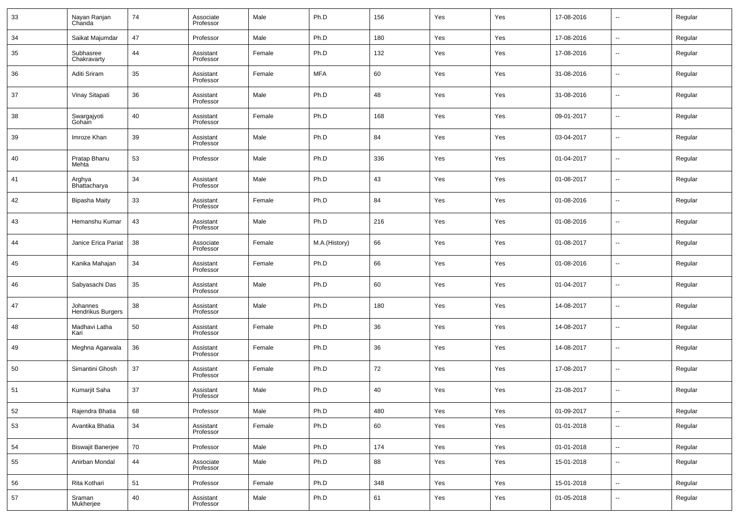| 33 | Nayan Ranjan<br>Chanda        | 74 | Associate<br>Professor | Male   | Ph.D          | 156 | Yes | Yes | 17-08-2016 | $\overline{\phantom{a}}$ | Regular |
|----|-------------------------------|----|------------------------|--------|---------------|-----|-----|-----|------------|--------------------------|---------|
| 34 | Saikat Majumdar               | 47 | Professor              | Male   | Ph.D          | 180 | Yes | Yes | 17-08-2016 | $\sim$                   | Regular |
| 35 | Subhasree<br>Chakravarty      | 44 | Assistant<br>Professor | Female | Ph.D          | 132 | Yes | Yes | 17-08-2016 | $\overline{\phantom{a}}$ | Regular |
| 36 | Aditi Sriram                  | 35 | Assistant<br>Professor | Female | <b>MFA</b>    | 60  | Yes | Yes | 31-08-2016 | $\overline{\phantom{a}}$ | Regular |
| 37 | Vinay Sitapati                | 36 | Assistant<br>Professor | Male   | Ph.D          | 48  | Yes | Yes | 31-08-2016 | $\overline{\phantom{a}}$ | Regular |
| 38 | Swargajyoti<br>Gohain         | 40 | Assistant<br>Professor | Female | Ph.D          | 168 | Yes | Yes | 09-01-2017 | $\overline{\phantom{a}}$ | Regular |
| 39 | Imroze Khan                   | 39 | Assistant<br>Professor | Male   | Ph.D          | 84  | Yes | Yes | 03-04-2017 | $\overline{\phantom{a}}$ | Regular |
| 40 | Pratap Bhanu<br>Mehta         | 53 | Professor              | Male   | Ph.D          | 336 | Yes | Yes | 01-04-2017 | $\overline{\phantom{a}}$ | Regular |
| 41 | Arghya<br>Bhattacharya        | 34 | Assistant<br>Professor | Male   | Ph.D          | 43  | Yes | Yes | 01-08-2017 | $\overline{\phantom{a}}$ | Regular |
| 42 | Bipasha Maity                 | 33 | Assistant<br>Professor | Female | Ph.D          | 84  | Yes | Yes | 01-08-2016 | $\overline{\phantom{a}}$ | Regular |
| 43 | Hemanshu Kumar                | 43 | Assistant<br>Professor | Male   | Ph.D          | 216 | Yes | Yes | 01-08-2016 | $\overline{\phantom{a}}$ | Regular |
| 44 | Janice Erica Pariat           | 38 | Associate<br>Professor | Female | M.A.(History) | 66  | Yes | Yes | 01-08-2017 | $\overline{\phantom{a}}$ | Regular |
| 45 | Kanika Mahajan                | 34 | Assistant<br>Professor | Female | Ph.D          | 66  | Yes | Yes | 01-08-2016 | $\overline{\phantom{a}}$ | Regular |
| 46 | Sabyasachi Das                | 35 | Assistant<br>Professor | Male   | Ph.D          | 60  | Yes | Yes | 01-04-2017 | $\overline{\phantom{a}}$ | Regular |
| 47 | Johannes<br>Hendrikus Burgers | 38 | Assistant<br>Professor | Male   | Ph.D          | 180 | Yes | Yes | 14-08-2017 | $\overline{\phantom{a}}$ | Regular |
| 48 | Madhavi Latha<br>Kari         | 50 | Assistant<br>Professor | Female | Ph.D          | 36  | Yes | Yes | 14-08-2017 | $\overline{\phantom{a}}$ | Regular |
| 49 | Meghna Agarwala               | 36 | Assistant<br>Professor | Female | Ph.D          | 36  | Yes | Yes | 14-08-2017 | $\overline{\phantom{a}}$ | Regular |
| 50 | Simantini Ghosh               | 37 | Assistant<br>Professor | Female | Ph.D          | 72  | Yes | Yes | 17-08-2017 | $\overline{\phantom{a}}$ | Regular |
| 51 | Kumarjit Saha                 | 37 | Assistant<br>Professor | Male   | Ph.D          | 40  | Yes | Yes | 21-08-2017 | $\overline{\phantom{a}}$ | Regular |
| 52 | Rajendra Bhatia               | 68 | Professor              | Male   | Ph.D          | 480 | Yes | Yes | 01-09-2017 | $\overline{\phantom{a}}$ | Regular |
| 53 | Avantika Bhatia               | 34 | Assistant<br>Professor | Female | Ph.D          | 60  | Yes | Yes | 01-01-2018 | $\overline{\phantom{a}}$ | Regular |
| 54 | <b>Biswajit Banerjee</b>      | 70 | Professor              | Male   | Ph.D          | 174 | Yes | Yes | 01-01-2018 | $\sim$                   | Regular |
| 55 | Anirban Mondal                | 44 | Associate<br>Professor | Male   | Ph.D          | 88  | Yes | Yes | 15-01-2018 | $\overline{\phantom{a}}$ | Regular |
| 56 | Rita Kothari                  | 51 | Professor              | Female | Ph.D          | 348 | Yes | Yes | 15-01-2018 | $\overline{\phantom{a}}$ | Regular |
| 57 | Sraman<br>Mukherjee           | 40 | Assistant<br>Professor | Male   | Ph.D          | 61  | Yes | Yes | 01-05-2018 | $\overline{\phantom{a}}$ | Regular |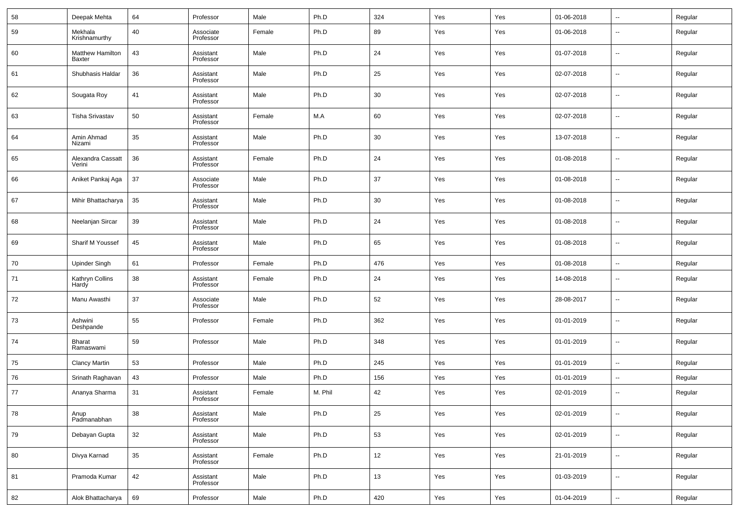| 58 | Deepak Mehta                             | 64 | Professor              | Male   | Ph.D    | 324 | Yes | Yes | 01-06-2018 | --                       | Regular |
|----|------------------------------------------|----|------------------------|--------|---------|-----|-----|-----|------------|--------------------------|---------|
| 59 | Mekhala<br>Krishnamurthy                 | 40 | Associate<br>Professor | Female | Ph.D    | 89  | Yes | Yes | 01-06-2018 | $\overline{\phantom{a}}$ | Regular |
| 60 | <b>Matthew Hamilton</b><br><b>Baxter</b> | 43 | Assistant<br>Professor | Male   | Ph.D    | 24  | Yes | Yes | 01-07-2018 | $\overline{\phantom{a}}$ | Regular |
| 61 | Shubhasis Haldar                         | 36 | Assistant<br>Professor | Male   | Ph.D    | 25  | Yes | Yes | 02-07-2018 | $\overline{\phantom{a}}$ | Regular |
| 62 | Sougata Roy                              | 41 | Assistant<br>Professor | Male   | Ph.D    | 30  | Yes | Yes | 02-07-2018 | $\overline{\phantom{a}}$ | Regular |
| 63 | Tisha Srivastav                          | 50 | Assistant<br>Professor | Female | M.A     | 60  | Yes | Yes | 02-07-2018 | $\overline{\phantom{a}}$ | Regular |
| 64 | Amin Ahmad<br>Nizami                     | 35 | Assistant<br>Professor | Male   | Ph.D    | 30  | Yes | Yes | 13-07-2018 | $\overline{\phantom{a}}$ | Regular |
| 65 | Alexandra Cassatt<br>Verini              | 36 | Assistant<br>Professor | Female | Ph.D    | 24  | Yes | Yes | 01-08-2018 | --                       | Regular |
| 66 | Aniket Pankaj Aga                        | 37 | Associate<br>Professor | Male   | Ph.D    | 37  | Yes | Yes | 01-08-2018 | $\overline{\phantom{a}}$ | Regular |
| 67 | Mihir Bhattacharya                       | 35 | Assistant<br>Professor | Male   | Ph.D    | 30  | Yes | Yes | 01-08-2018 | $\overline{\phantom{a}}$ | Regular |
| 68 | Neelanjan Sircar                         | 39 | Assistant<br>Professor | Male   | Ph.D    | 24  | Yes | Yes | 01-08-2018 | $\overline{\phantom{a}}$ | Regular |
| 69 | Sharif M Youssef                         | 45 | Assistant<br>Professor | Male   | Ph.D    | 65  | Yes | Yes | 01-08-2018 | $\overline{\phantom{a}}$ | Regular |
| 70 | Upinder Singh                            | 61 | Professor              | Female | Ph.D    | 476 | Yes | Yes | 01-08-2018 | $\overline{\phantom{a}}$ | Regular |
| 71 | Kathryn Collins<br>Hardy                 | 38 | Assistant<br>Professor | Female | Ph.D    | 24  | Yes | Yes | 14-08-2018 | $\overline{\phantom{a}}$ | Regular |
| 72 | Manu Awasthi                             | 37 | Associate<br>Professor | Male   | Ph.D    | 52  | Yes | Yes | 28-08-2017 | $\overline{\phantom{a}}$ | Regular |
| 73 | Ashwini<br>Deshpande                     | 55 | Professor              | Female | Ph.D    | 362 | Yes | Yes | 01-01-2019 | $\overline{\phantom{a}}$ | Regular |
| 74 | Bharat<br>Ramaswami                      | 59 | Professor              | Male   | Ph.D    | 348 | Yes | Yes | 01-01-2019 | $\overline{\phantom{a}}$ | Regular |
| 75 | Clancy Martin                            | 53 | Professor              | Male   | Ph.D    | 245 | Yes | Yes | 01-01-2019 | $\overline{\phantom{a}}$ | Regular |
| 76 | Srinath Raghavan                         | 43 | Professor              | Male   | Ph.D    | 156 | Yes | Yes | 01-01-2019 | --                       | Regular |
| 77 | Ananya Sharma                            | 31 | Assistant<br>Professor | Female | M. Phil | 42  | Yes | Yes | 02-01-2019 | $\overline{\phantom{a}}$ | Regular |
| 78 | Anup<br>Padmanabhan                      | 38 | Assistant<br>Professor | Male   | Ph.D    | 25  | Yes | Yes | 02-01-2019 | $\overline{\phantom{a}}$ | Regular |
| 79 | Debayan Gupta                            | 32 | Assistant<br>Professor | Male   | Ph.D    | 53  | Yes | Yes | 02-01-2019 | ۰.                       | Regular |
| 80 | Divya Karnad                             | 35 | Assistant<br>Professor | Female | Ph.D    | 12  | Yes | Yes | 21-01-2019 | $\overline{\phantom{a}}$ | Regular |
| 81 | Pramoda Kumar                            | 42 | Assistant<br>Professor | Male   | Ph.D    | 13  | Yes | Yes | 01-03-2019 | $\overline{\phantom{a}}$ | Regular |
| 82 | Alok Bhattacharya                        | 69 | Professor              | Male   | Ph.D    | 420 | Yes | Yes | 01-04-2019 | ۰.                       | Regular |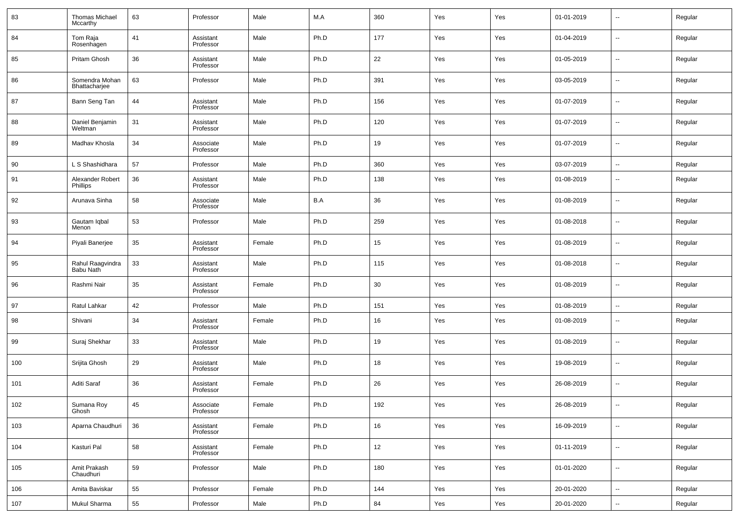| 83  | Thomas Michael<br>Mccarthy      | 63 | Professor              | Male   | M.A  | 360 | Yes | Yes | 01-01-2019 | --                       | Regular |
|-----|---------------------------------|----|------------------------|--------|------|-----|-----|-----|------------|--------------------------|---------|
| 84  | Tom Raja<br>Rosenhagen          | 41 | Assistant<br>Professor | Male   | Ph.D | 177 | Yes | Yes | 01-04-2019 | --                       | Regular |
| 85  | Pritam Ghosh                    | 36 | Assistant<br>Professor | Male   | Ph.D | 22  | Yes | Yes | 01-05-2019 | --                       | Regular |
| 86  | Somendra Mohan<br>Bhattacharjee | 63 | Professor              | Male   | Ph.D | 391 | Yes | Yes | 03-05-2019 | $\overline{\phantom{a}}$ | Regular |
| 87  | Bann Seng Tan                   | 44 | Assistant<br>Professor | Male   | Ph.D | 156 | Yes | Yes | 01-07-2019 | ш,                       | Regular |
| 88  | Daniel Benjamin<br>Weltman      | 31 | Assistant<br>Professor | Male   | Ph.D | 120 | Yes | Yes | 01-07-2019 | $\overline{\phantom{a}}$ | Regular |
| 89  | Madhav Khosla                   | 34 | Associate<br>Professor | Male   | Ph.D | 19  | Yes | Yes | 01-07-2019 | ш,                       | Regular |
| 90  | L S Shashidhara                 | 57 | Professor              | Male   | Ph.D | 360 | Yes | Yes | 03-07-2019 | $\sim$                   | Regular |
| 91  | Alexander Robert<br>Phillips    | 36 | Assistant<br>Professor | Male   | Ph.D | 138 | Yes | Yes | 01-08-2019 | --                       | Regular |
| 92  | Arunava Sinha                   | 58 | Associate<br>Professor | Male   | B.A  | 36  | Yes | Yes | 01-08-2019 | --                       | Regular |
| 93  | Gautam Iqbal<br>Menon           | 53 | Professor              | Male   | Ph.D | 259 | Yes | Yes | 01-08-2018 | --                       | Regular |
| 94  | Piyali Banerjee                 | 35 | Assistant<br>Professor | Female | Ph.D | 15  | Yes | Yes | 01-08-2019 | --                       | Regular |
| 95  | Rahul Raagvindra<br>Babu Nath   | 33 | Assistant<br>Professor | Male   | Ph.D | 115 | Yes | Yes | 01-08-2018 | --                       | Regular |
| 96  | Rashmi Nair                     | 35 | Assistant<br>Professor | Female | Ph.D | 30  | Yes | Yes | 01-08-2019 | --                       | Regular |
| 97  | Ratul Lahkar                    | 42 | Professor              | Male   | Ph.D | 151 | Yes | Yes | 01-08-2019 | $\sim$                   | Regular |
| 98  | Shivani                         | 34 | Assistant<br>Professor | Female | Ph.D | 16  | Yes | Yes | 01-08-2019 | --                       | Regular |
| 99  | Suraj Shekhar                   | 33 | Assistant<br>Professor | Male   | Ph.D | 19  | Yes | Yes | 01-08-2019 | --                       | Regular |
| 100 | Srijita Ghosh                   | 29 | Assistant<br>Professor | Male   | Ph.D | 18  | Yes | Yes | 19-08-2019 | --                       | Regular |
| 101 | Aditi Saraf                     | 36 | Assistant<br>Professor | Female | Ph.D | 26  | Yes | Yes | 26-08-2019 | --                       | Regular |
| 102 | Sumana Roy<br>Ghosh             | 45 | Associate<br>Professor | Female | Ph.D | 192 | Yes | Yes | 26-08-2019 | $\overline{\phantom{a}}$ | Regular |
| 103 | Aparna Chaudhuri                | 36 | Assistant<br>Professor | Female | Ph.D | 16  | Yes | Yes | 16-09-2019 | $\overline{\phantom{a}}$ | Regular |
| 104 | Kasturi Pal                     | 58 | Assistant<br>Professor | Female | Ph.D | 12  | Yes | Yes | 01-11-2019 | $\sim$                   | Regular |
| 105 | Amit Prakash<br>Chaudhuri       | 59 | Professor              | Male   | Ph.D | 180 | Yes | Yes | 01-01-2020 | $\sim$                   | Regular |
| 106 | Amita Baviskar                  | 55 | Professor              | Female | Ph.D | 144 | Yes | Yes | 20-01-2020 | $\sim$                   | Regular |
| 107 | Mukul Sharma                    | 55 | Professor              | Male   | Ph.D | 84  | Yes | Yes | 20-01-2020 | $\sim$                   | Regular |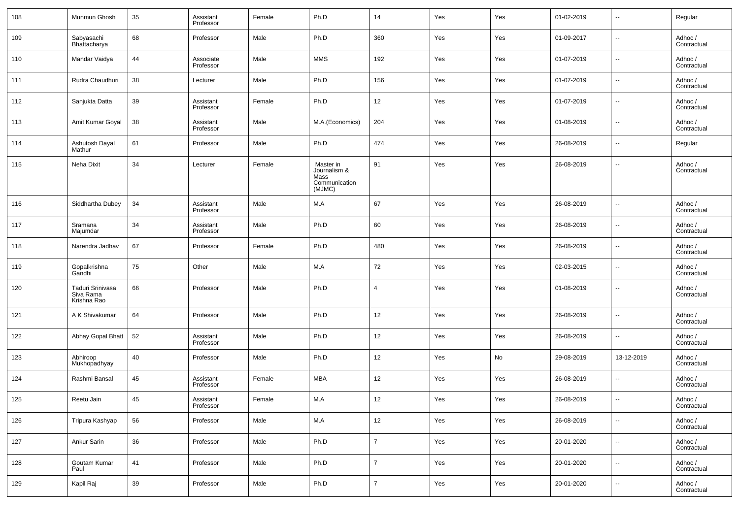| 108 | Munmun Ghosh                                 | 35 | Assistant<br>Professor | Female | Ph.D                                                         | 14             | Yes | Yes | 01-02-2019 | $\sim$                   | Regular                |
|-----|----------------------------------------------|----|------------------------|--------|--------------------------------------------------------------|----------------|-----|-----|------------|--------------------------|------------------------|
| 109 | Sabyasachi<br>Bhattacharya                   | 68 | Professor              | Male   | Ph.D                                                         | 360            | Yes | Yes | 01-09-2017 | $\overline{\phantom{a}}$ | Adhoc /<br>Contractual |
| 110 | Mandar Vaidya                                | 44 | Associate<br>Professor | Male   | <b>MMS</b>                                                   | 192            | Yes | Yes | 01-07-2019 | $\sim$                   | Adhoc /<br>Contractual |
| 111 | Rudra Chaudhuri                              | 38 | Lecturer               | Male   | Ph.D                                                         | 156            | Yes | Yes | 01-07-2019 | --                       | Adhoc /<br>Contractual |
| 112 | Sanjukta Datta                               | 39 | Assistant<br>Professor | Female | Ph.D                                                         | 12             | Yes | Yes | 01-07-2019 | --                       | Adhoc /<br>Contractual |
| 113 | Amit Kumar Goyal                             | 38 | Assistant<br>Professor | Male   | M.A.(Economics)                                              | 204            | Yes | Yes | 01-08-2019 | --                       | Adhoc /<br>Contractual |
| 114 | Ashutosh Dayal<br>Mathur                     | 61 | Professor              | Male   | Ph.D                                                         | 474            | Yes | Yes | 26-08-2019 | --                       | Regular                |
| 115 | Neha Dixit                                   | 34 | Lecturer               | Female | Master in<br>Journalism &<br>Mass<br>Communication<br>(MJMC) | 91             | Yes | Yes | 26-08-2019 | --                       | Adhoc /<br>Contractual |
| 116 | Siddhartha Dubey                             | 34 | Assistant<br>Professor | Male   | M.A                                                          | 67             | Yes | Yes | 26-08-2019 | --                       | Adhoc /<br>Contractual |
| 117 | Sramana<br>Majumdar                          | 34 | Assistant<br>Professor | Male   | Ph.D                                                         | 60             | Yes | Yes | 26-08-2019 | --                       | Adhoc /<br>Contractual |
| 118 | Narendra Jadhav                              | 67 | Professor              | Female | Ph.D                                                         | 480            | Yes | Yes | 26-08-2019 | --                       | Adhoc /<br>Contractual |
| 119 | Gopalkrishna<br>Gandhi                       | 75 | Other                  | Male   | M.A                                                          | 72             | Yes | Yes | 02-03-2015 | --                       | Adhoc /<br>Contractual |
| 120 | Taduri Srinivasa<br>Siva Rama<br>Krishna Rao | 66 | Professor              | Male   | Ph.D                                                         | $\overline{4}$ | Yes | Yes | 01-08-2019 | --                       | Adhoc/<br>Contractual  |
| 121 | A K Shivakumar                               | 64 | Professor              | Male   | Ph.D                                                         | 12             | Yes | Yes | 26-08-2019 | --                       | Adhoc /<br>Contractual |
| 122 | Abhay Gopal Bhatt                            | 52 | Assistant<br>Professor | Male   | Ph.D                                                         | 12             | Yes | Yes | 26-08-2019 | $\overline{a}$           | Adhoc /<br>Contractual |
| 123 | Abhiroop<br>Mukhopadhyay                     | 40 | Professor              | Male   | Ph.D                                                         | 12             | Yes | No  | 29-08-2019 | 13-12-2019               | Adhoc /<br>Contractual |
| 124 | Rashmi Bansal                                | 45 | Assistant<br>Professor | Female | MBA                                                          | 12             | Yes | Yes | 26-08-2019 | $\overline{a}$           | Adhoc /<br>Contractual |
| 125 | Reetu Jain                                   | 45 | Assistant<br>Professor | Female | M.A                                                          | 12             | Yes | Yes | 26-08-2019 | $\overline{\phantom{a}}$ | Adhoc/<br>Contractual  |
| 126 | Tripura Kashyap                              | 56 | Professor              | Male   | M.A                                                          | 12             | Yes | Yes | 26-08-2019 | $\overline{\phantom{a}}$ | Adhoc /<br>Contractual |
| 127 | Ankur Sarin                                  | 36 | Professor              | Male   | Ph.D                                                         | $\overline{7}$ | Yes | Yes | 20-01-2020 | $\sim$                   | Adhoc /<br>Contractual |
| 128 | Goutam Kumar<br>Paul                         | 41 | Professor              | Male   | Ph.D                                                         | $\overline{7}$ | Yes | Yes | 20-01-2020 | $\overline{\phantom{a}}$ | Adhoc /<br>Contractual |
| 129 | Kapil Raj                                    | 39 | Professor              | Male   | Ph.D                                                         | $\overline{7}$ | Yes | Yes | 20-01-2020 | $\sim$                   | Adhoc /<br>Contractual |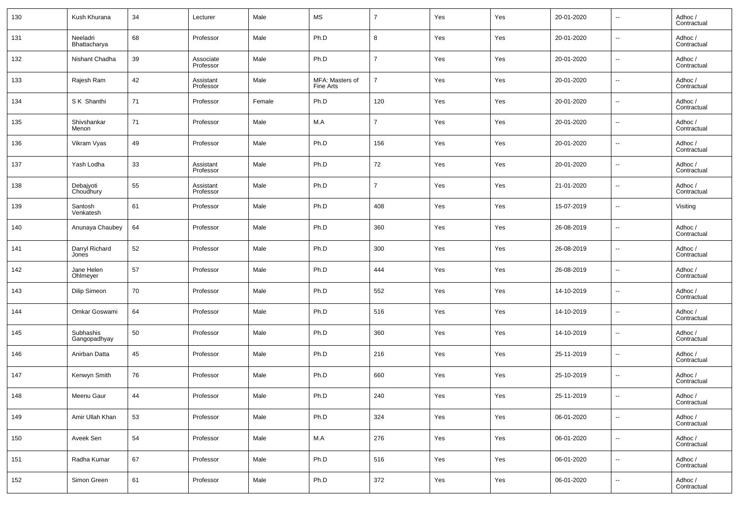| 130 | Kush Khurana              | 34 | Lecturer               | Male   | MS                           | $\overline{7}$ | Yes | Yes | 20-01-2020 | $\overline{\phantom{a}}$ | Adhoc /<br>Contractual |
|-----|---------------------------|----|------------------------|--------|------------------------------|----------------|-----|-----|------------|--------------------------|------------------------|
| 131 | Neeladri<br>Bhattacharya  | 68 | Professor              | Male   | Ph.D                         | 8              | Yes | Yes | 20-01-2020 | $\overline{\phantom{a}}$ | Adhoc /<br>Contractual |
| 132 | Nishant Chadha            | 39 | Associate<br>Professor | Male   | Ph.D                         | $\overline{7}$ | Yes | Yes | 20-01-2020 | $\overline{\phantom{a}}$ | Adhoc /<br>Contractual |
| 133 | Rajesh Ram                | 42 | Assistant<br>Professor | Male   | MFA: Masters of<br>Fine Arts | $\overline{7}$ | Yes | Yes | 20-01-2020 | $\overline{\phantom{a}}$ | Adhoc /<br>Contractual |
| 134 | S K Shanthi               | 71 | Professor              | Female | Ph.D                         | 120            | Yes | Yes | 20-01-2020 | $\overline{\phantom{a}}$ | Adhoc /<br>Contractual |
| 135 | Shivshankar<br>Menon      | 71 | Professor              | Male   | M.A                          | $\overline{7}$ | Yes | Yes | 20-01-2020 | $\overline{\phantom{a}}$ | Adhoc /<br>Contractual |
| 136 | Vikram Vyas               | 49 | Professor              | Male   | Ph.D                         | 156            | Yes | Yes | 20-01-2020 | $\overline{\phantom{a}}$ | Adhoc /<br>Contractual |
| 137 | Yash Lodha                | 33 | Assistant<br>Professor | Male   | Ph.D                         | 72             | Yes | Yes | 20-01-2020 | $\overline{\phantom{a}}$ | Adhoc /<br>Contractual |
| 138 | Debajyoti<br>Choudhury    | 55 | Assistant<br>Professor | Male   | Ph.D                         | $\overline{7}$ | Yes | Yes | 21-01-2020 | $\overline{\phantom{a}}$ | Adhoc /<br>Contractual |
| 139 | Santosh<br>Venkatesh      | 61 | Professor              | Male   | Ph.D                         | 408            | Yes | Yes | 15-07-2019 | $\overline{\phantom{a}}$ | Visiting               |
| 140 | Anunaya Chaubey           | 64 | Professor              | Male   | Ph.D                         | 360            | Yes | Yes | 26-08-2019 | $\overline{\phantom{a}}$ | Adhoc /<br>Contractual |
| 141 | Darryl Richard<br>Jones   | 52 | Professor              | Male   | Ph.D                         | 300            | Yes | Yes | 26-08-2019 | $\overline{\phantom{a}}$ | Adhoc /<br>Contractual |
| 142 | Jane Helen<br>Ohlmeyer    | 57 | Professor              | Male   | Ph.D                         | 444            | Yes | Yes | 26-08-2019 | $\overline{\phantom{a}}$ | Adhoc /<br>Contractual |
| 143 | Dilip Simeon              | 70 | Professor              | Male   | Ph.D                         | 552            | Yes | Yes | 14-10-2019 | $\overline{\phantom{a}}$ | Adhoc /<br>Contractual |
| 144 | Omkar Goswami             | 64 | Professor              | Male   | Ph.D                         | 516            | Yes | Yes | 14-10-2019 | $\overline{\phantom{a}}$ | Adhoc /<br>Contractual |
| 145 | Subhashis<br>Gangopadhyay | 50 | Professor              | Male   | Ph.D                         | 360            | Yes | Yes | 14-10-2019 | $\overline{\phantom{a}}$ | Adhoc /<br>Contractual |
| 146 | Anirban Datta             | 45 | Professor              | Male   | Ph.D                         | 216            | Yes | Yes | 25-11-2019 | $\overline{\phantom{a}}$ | Adhoc /<br>Contractual |
| 147 | Kenwyn Smith              | 76 | Professor              | Male   | Ph.D                         | 660            | Yes | Yes | 25-10-2019 | $\overline{\phantom{a}}$ | Adhoc /<br>Contractual |
| 148 | Meenu Gaur                | 44 | Professor              | Male   | Ph.D                         | 240            | Yes | Yes | 25-11-2019 | $\overline{\phantom{a}}$ | Adhoc /<br>Contractual |
| 149 | Amir Ullah Khan           | 53 | Professor              | Male   | Ph.D                         | 324            | Yes | Yes | 06-01-2020 | ۰.                       | Adhoc /<br>Contractual |
| 150 | Aveek Sen                 | 54 | Professor              | Male   | M.A                          | 276            | Yes | Yes | 06-01-2020 | ۰.                       | Adhoc /<br>Contractual |
| 151 | Radha Kumar               | 67 | Professor              | Male   | Ph.D                         | 516            | Yes | Yes | 06-01-2020 | $\overline{\phantom{a}}$ | Adhoc /<br>Contractual |
| 152 | Simon Green               | 61 | Professor              | Male   | Ph.D                         | 372            | Yes | Yes | 06-01-2020 | $\overline{\phantom{a}}$ | Adhoc /<br>Contractual |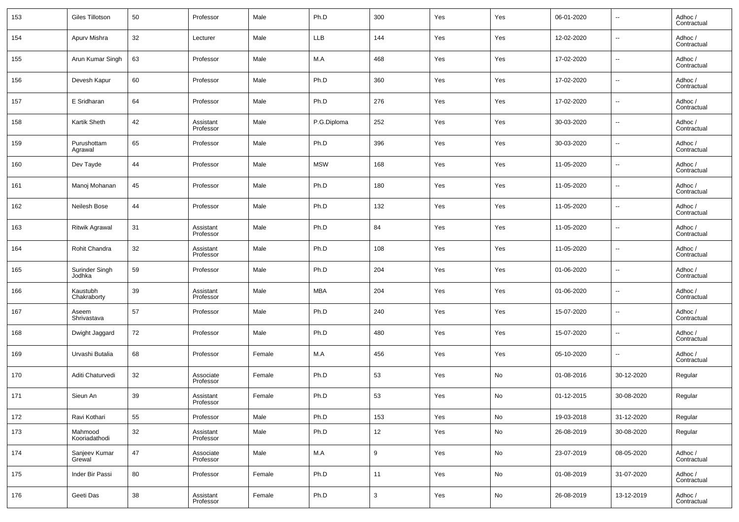| 153 | Giles Tillotson          | 50 | Professor              | Male   | Ph.D        | 300 | Yes | Yes | 06-01-2020 | $\overline{\phantom{a}}$ | Adhoc /<br>Contractual |
|-----|--------------------------|----|------------------------|--------|-------------|-----|-----|-----|------------|--------------------------|------------------------|
| 154 | Apurv Mishra             | 32 | Lecturer               | Male   | <b>LLB</b>  | 144 | Yes | Yes | 12-02-2020 | $\overline{\phantom{a}}$ | Adhoc /<br>Contractual |
| 155 | Arun Kumar Singh         | 63 | Professor              | Male   | M.A         | 468 | Yes | Yes | 17-02-2020 | $\sim$                   | Adhoc /<br>Contractual |
| 156 | Devesh Kapur             | 60 | Professor              | Male   | Ph.D        | 360 | Yes | Yes | 17-02-2020 | $\overline{\phantom{a}}$ | Adhoc /<br>Contractual |
| 157 | E Sridharan              | 64 | Professor              | Male   | Ph.D        | 276 | Yes | Yes | 17-02-2020 | $\overline{\phantom{a}}$ | Adhoc /<br>Contractual |
| 158 | Kartik Sheth             | 42 | Assistant<br>Professor | Male   | P.G.Diploma | 252 | Yes | Yes | 30-03-2020 | $\overline{\phantom{a}}$ | Adhoc /<br>Contractual |
| 159 | Purushottam<br>Agrawal   | 65 | Professor              | Male   | Ph.D        | 396 | Yes | Yes | 30-03-2020 | $\overline{\phantom{a}}$ | Adhoc /<br>Contractual |
| 160 | Dev Tayde                | 44 | Professor              | Male   | <b>MSW</b>  | 168 | Yes | Yes | 11-05-2020 | $\overline{\phantom{a}}$ | Adhoc /<br>Contractual |
| 161 | Manoj Mohanan            | 45 | Professor              | Male   | Ph.D        | 180 | Yes | Yes | 11-05-2020 | $\overline{\phantom{a}}$ | Adhoc /<br>Contractual |
| 162 | Neilesh Bose             | 44 | Professor              | Male   | Ph.D        | 132 | Yes | Yes | 11-05-2020 | $\sim$                   | Adhoc /<br>Contractual |
| 163 | <b>Ritwik Agrawal</b>    | 31 | Assistant<br>Professor | Male   | Ph.D        | 84  | Yes | Yes | 11-05-2020 | $\overline{\phantom{a}}$ | Adhoc /<br>Contractual |
| 164 | Rohit Chandra            | 32 | Assistant<br>Professor | Male   | Ph.D        | 108 | Yes | Yes | 11-05-2020 | $\overline{\phantom{a}}$ | Adhoc /<br>Contractual |
| 165 | Surinder Singh<br>Jodhka | 59 | Professor              | Male   | Ph.D        | 204 | Yes | Yes | 01-06-2020 | $\overline{\phantom{a}}$ | Adhoc /<br>Contractual |
| 166 | Kaustubh<br>Chakraborty  | 39 | Assistant<br>Professor | Male   | <b>MBA</b>  | 204 | Yes | Yes | 01-06-2020 | $\overline{\phantom{a}}$ | Adhoc /<br>Contractual |
| 167 | Aseem<br>Shrivastava     | 57 | Professor              | Male   | Ph.D        | 240 | Yes | Yes | 15-07-2020 | $\overline{\phantom{a}}$ | Adhoc /<br>Contractual |
| 168 | Dwight Jaggard           | 72 | Professor              | Male   | Ph.D        | 480 | Yes | Yes | 15-07-2020 | $\overline{\phantom{a}}$ | Adhoc /<br>Contractual |
| 169 | Urvashi Butalia          | 68 | Professor              | Female | M.A         | 456 | Yes | Yes | 05-10-2020 | ۰.                       | Adhoc /<br>Contractual |
| 170 | Aditi Chaturvedi         | 32 | Associate<br>Professor | Female | Ph.D        | 53  | Yes | No  | 01-08-2016 | 30-12-2020               | Regular                |
| 171 | Sieun An                 | 39 | Assistant<br>Professor | Female | Ph.D        | 53  | Yes | No  | 01-12-2015 | 30-08-2020               | Regular                |
| 172 | Ravi Kothari             | 55 | Professor              | Male   | Ph.D        | 153 | Yes | No  | 19-03-2018 | 31-12-2020               | Regular                |
| 173 | Mahmood<br>Kooriadathodi | 32 | Assistant<br>Professor | Male   | Ph.D        | 12  | Yes | No  | 26-08-2019 | 30-08-2020               | Regular                |
| 174 | Sanjeev Kumar<br>Grewal  | 47 | Associate<br>Professor | Male   | M.A         | 9   | Yes | No  | 23-07-2019 | 08-05-2020               | Adhoc /<br>Contractual |
| 175 | Inder Bir Passi          | 80 | Professor              | Female | Ph.D        | 11  | Yes | No  | 01-08-2019 | 31-07-2020               | Adhoc /<br>Contractual |
| 176 | Geeti Das                | 38 | Assistant<br>Professor | Female | Ph.D        | 3   | Yes | No  | 26-08-2019 | 13-12-2019               | Adhoc /<br>Contractual |